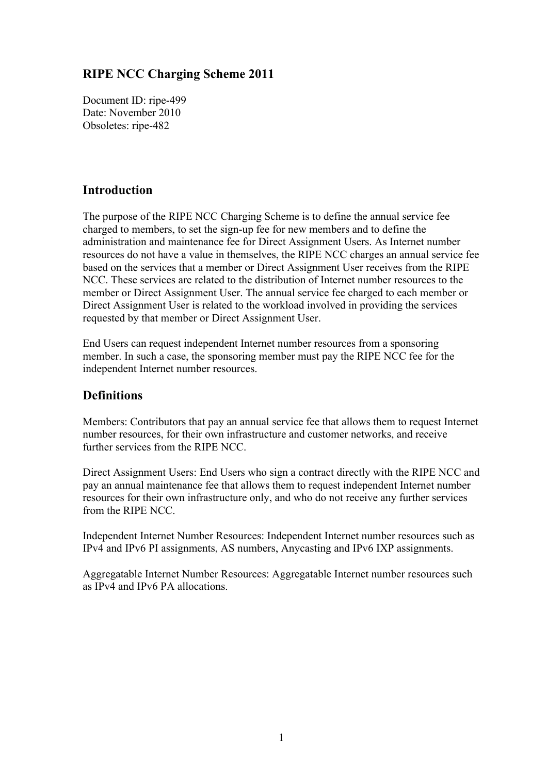## **RIPE NCC Charging Scheme 2011**

Document ID: ripe-499 Date: November 2010 Obsoletes: ripe-482

## **Introduction**

The purpose of the RIPE NCC Charging Scheme is to define the annual service fee charged to members, to set the sign-up fee for new members and to define the administration and maintenance fee for Direct Assignment Users. As Internet number resources do not have a value in themselves, the RIPE NCC charges an annual service fee based on the services that a member or Direct Assignment User receives from the RIPE NCC. These services are related to the distribution of Internet number resources to the member or Direct Assignment User. The annual service fee charged to each member or Direct Assignment User is related to the workload involved in providing the services requested by that member or Direct Assignment User.

End Users can request independent Internet number resources from a sponsoring member. In such a case, the sponsoring member must pay the RIPE NCC fee for the independent Internet number resources.

## **Definitions**

Members: Contributors that pay an annual service fee that allows them to request Internet number resources, for their own infrastructure and customer networks, and receive further services from the RIPE NCC.

Direct Assignment Users: End Users who sign a contract directly with the RIPE NCC and pay an annual maintenance fee that allows them to request independent Internet number resources for their own infrastructure only, and who do not receive any further services from the RIPE NCC.

Independent Internet Number Resources: Independent Internet number resources such as IPv4 and IPv6 PI assignments, AS numbers, Anycasting and IPv6 IXP assignments.

Aggregatable Internet Number Resources: Aggregatable Internet number resources such as IPv4 and IPv6 PA allocations.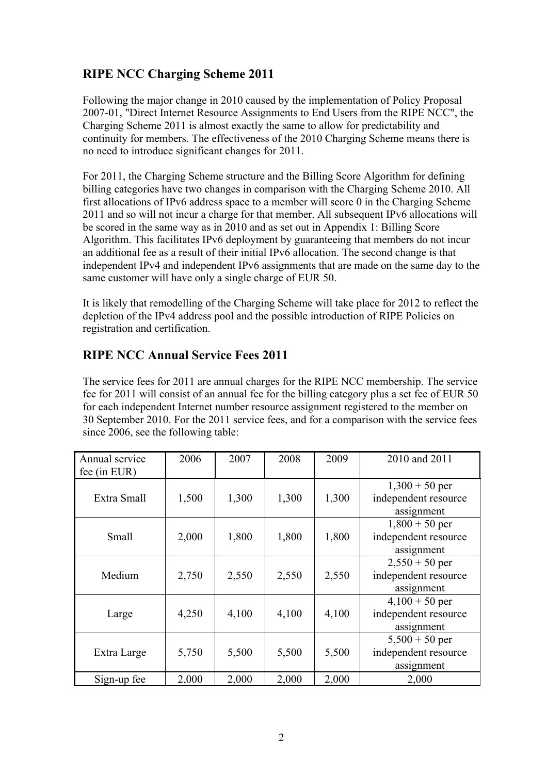# **RIPE NCC Charging Scheme 2011**

Following the major change in 2010 caused by the implementation of Policy Proposal 2007-01, "Direct Internet Resource Assignments to End Users from the RIPE NCC", the Charging Scheme 2011 is almost exactly the same to allow for predictability and continuity for members. The effectiveness of the 2010 Charging Scheme means there is no need to introduce significant changes for 2011.

For 2011, the Charging Scheme structure and the Billing Score Algorithm for defining billing categories have two changes in comparison with the Charging Scheme 2010. All first allocations of IPv6 address space to a member will score 0 in the Charging Scheme 2011 and so will not incur a charge for that member. All subsequent IPv6 allocations will be scored in the same way as in 2010 and as set out in Appendix 1: Billing Score Algorithm. This facilitates IPv6 deployment by guaranteeing that members do not incur an additional fee as a result of their initial IPv6 allocation. The second change is that independent IPv4 and independent IPv6 assignments that are made on the same day to the same customer will have only a single charge of EUR 50.

It is likely that remodelling of the Charging Scheme will take place for 2012 to reflect the depletion of the IPv4 address pool and the possible introduction of RIPE Policies on registration and certification.

## **RIPE NCC Annual Service Fees 2011**

The service fees for 2011 are annual charges for the RIPE NCC membership. The service fee for 2011 will consist of an annual fee for the billing category plus a set fee of EUR 50 for each independent Internet number resource assignment registered to the member on 30 September 2010. For the 2011 service fees, and for a comparison with the service fees since 2006, see the following table:

| Annual service<br>fee (in EUR) | 2006  | 2007  | 2008  | 2009  | 2010 and 2011                                          |
|--------------------------------|-------|-------|-------|-------|--------------------------------------------------------|
| Extra Small                    | 1,500 | 1,300 | 1,300 | 1,300 | $1,300 + 50$ per<br>independent resource<br>assignment |
| Small                          | 2,000 | 1,800 | 1,800 | 1,800 | $1,800 + 50$ per<br>independent resource<br>assignment |
| Medium                         | 2,750 | 2,550 | 2,550 | 2,550 | $2,550 + 50$ per<br>independent resource<br>assignment |
| Large                          | 4,250 | 4,100 | 4,100 | 4,100 | $4,100 + 50$ per<br>independent resource<br>assignment |
| Extra Large                    | 5,750 | 5,500 | 5,500 | 5,500 | $5,500 + 50$ per<br>independent resource<br>assignment |
| Sign-up fee                    | 2,000 | 2,000 | 2,000 | 2,000 | 2,000                                                  |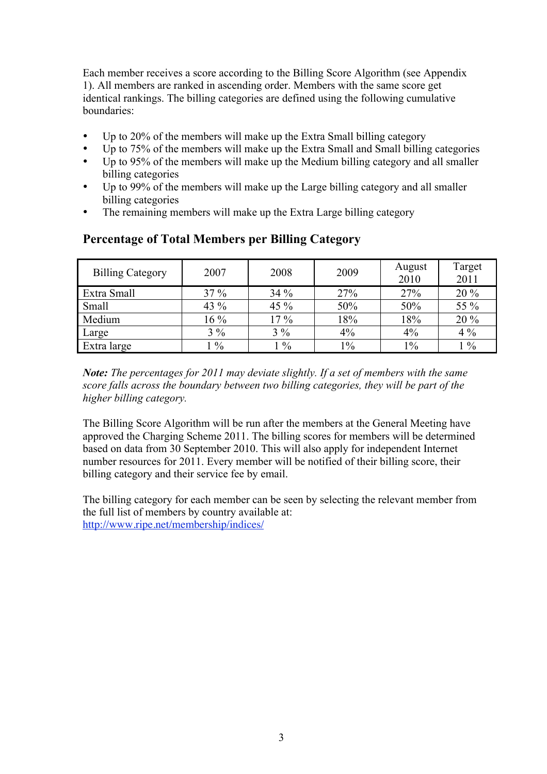Each member receives a score according to the Billing Score Algorithm (see Appendix 1). All members are ranked in ascending order. Members with the same score get identical rankings. The billing categories are defined using the following cumulative boundaries:

- Up to 20% of the members will make up the Extra Small billing category
- Up to 75% of the members will make up the Extra Small and Small billing categories  $\bullet$  Up to 95% of the members will make up the Medium billing category and all smaller
- Up to 95% of the members will make up the Medium billing category and all smaller billing categories
- Up to 99% of the members will make up the Large billing category and all smaller billing categories
- The remaining members will make up the Extra Large billing category

| <b>Billing Category</b> | 2007          | 2008          | 2009  | August<br>2010 | Target<br>2011 |
|-------------------------|---------------|---------------|-------|----------------|----------------|
| Extra Small             | 37 %          | 34%           | 27%   | 27%            | 20 %           |
| Small                   | 43 %          | 45 %          | 50%   | 50%            | 55 %           |
| Medium                  | $16\%$        | $17\%$        | 18%   | 18%            | 20 %           |
| Large                   | $3\%$         | $3\%$         | $4\%$ | 4%             | $4\%$          |
| Extra large             | $\frac{0}{0}$ | $\frac{0}{0}$ | $1\%$ | $1\%$          | $1\%$          |

#### **Percentage of Total Members per Billing Category**

*Note: The percentages for 2011 may deviate slightly. If a set of members with the same score falls across the boundary between two billing categories, they will be part of the higher billing category.*

The Billing Score Algorithm will be run after the members at the General Meeting have approved the Charging Scheme 2011. The billing scores for members will be determined based on data from 30 September 2010. This will also apply for independent Internet number resources for 2011. Every member will be notified of their billing score, their billing category and their service fee by email.

The billing category for each member can be seen by selecting the relevant member from the full list of members by country available at: http://www.ripe.net/membership/indices/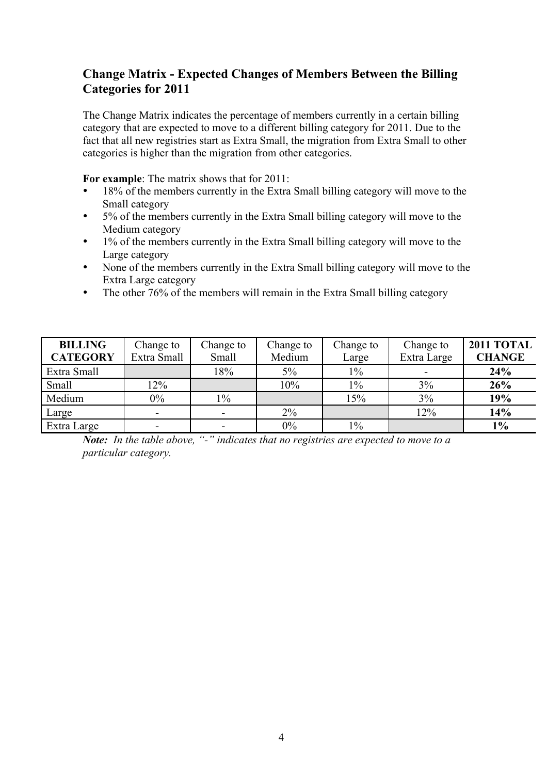## **Change Matrix - Expected Changes of Members Between the Billing Categories for 2011**

The Change Matrix indicates the percentage of members currently in a certain billing category that are expected to move to a different billing category for 2011. Due to the fact that all new registries start as Extra Small, the migration from Extra Small to other categories is higher than the migration from other categories.

**For example**: The matrix shows that for 2011:

- 18% of the members currently in the Extra Small billing category will move to the Small category
- 5% of the members currently in the Extra Small billing category will move to the Medium category
- 1% of the members currently in the Extra Small billing category will move to the Large category
- None of the members currently in the Extra Small billing category will move to the Extra Large category
- The other 76% of the members will remain in the Extra Small billing category

| <b>BILLING</b><br><b>CATEGORY</b> | Change to<br>Extra Small | Change to<br>Small       | Change to<br>Medium | Change to<br>Large | Change to<br>Extra Large | <b>2011 TOTAL</b><br><b>CHANGE</b> |
|-----------------------------------|--------------------------|--------------------------|---------------------|--------------------|--------------------------|------------------------------------|
| Extra Small                       |                          | 18%                      | 5%                  | $1\%$              |                          | 24%                                |
| Small                             | 12%                      |                          | 10%                 | $1\%$              | 3%                       | 26%                                |
| Medium                            | $0\%$                    | $1\%$                    |                     | 15%                | 3%                       | 19%                                |
| Large                             | $\blacksquare$           | $\blacksquare$           | $2\%$               |                    | 12%                      | 14%                                |
| Extra Large                       | -                        | $\overline{\phantom{a}}$ | $0\%$               | $1\%$              |                          | $1\%$                              |

*Note: In the table above, "-" indicates that no registries are expected to move to a particular category.*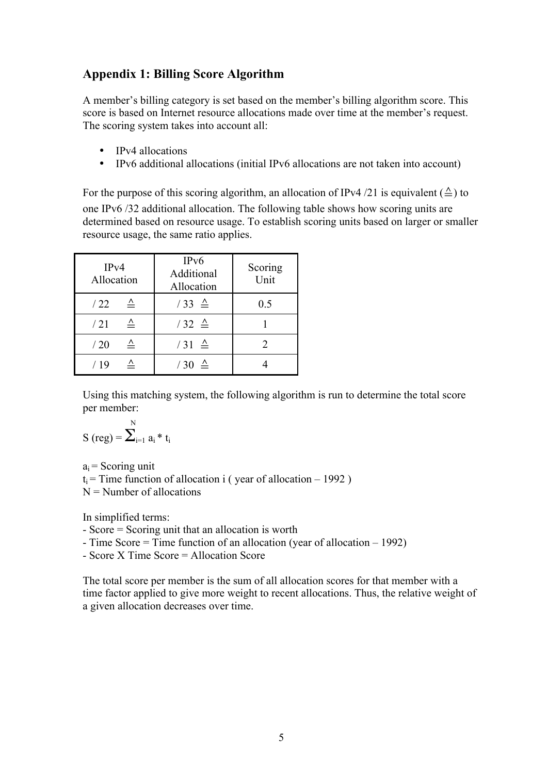## **Appendix 1: Billing Score Algorithm**

A member's billing category is set based on the member's billing algorithm score. This score is based on Internet resource allocations made over time at the member's request. The scoring system takes into account all:

- IPv4 allocations
- IPv6 additional allocations (initial IPv6 allocations are not taken into account)

For the purpose of this scoring algorithm, an allocation of IPv4 /21 is equivalent ( $\triangle$ ) to one IPv6 /32 additional allocation. The following table shows how scoring units are determined based on resource usage. To establish scoring units based on larger or smaller resource usage, the same ratio applies.

| IPv4<br>Allocation  | IP <sub>v</sub> 6<br>Additional<br>Allocation | Scoring<br>Unit |  |
|---------------------|-----------------------------------------------|-----------------|--|
| /22                 | $/33 \triangleq$                              | 0.5             |  |
| $\triangleq$<br>/21 | $/32 \triangleq$                              |                 |  |
| $\triangleq$<br>/20 | $/31 \triangleq$                              |                 |  |
| / 19                | $/30 \triangleq$                              |                 |  |

Using this matching system, the following algorithm is run to determine the total score per member:

S (reg) = 
$$
\sum_{i=1}^{N} a_i * t_i
$$

 $\lambda$ 

 $a_i$  = Scoring unit  $t_i$  = Time function of allocation i (vear of allocation – 1992)  $N =$  Number of allocations

In simplified terms:

- Score = Scoring unit that an allocation is worth

- Time Score = Time function of an allocation (year of allocation – 1992)

- Score X Time Score = Allocation Score

The total score per member is the sum of all allocation scores for that member with a time factor applied to give more weight to recent allocations. Thus, the relative weight of a given allocation decreases over time.